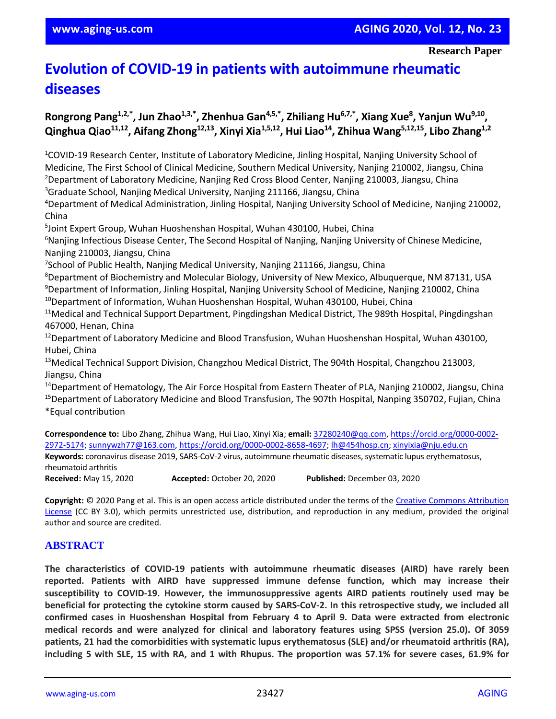# **Evolution of COVID-19 in patients with autoimmune rheumatic diseases**

# **Rongrong Pang1,2,\*, Jun Zhao1,3,\*, Zhenhua Gan4,5,\*, Zhiliang Hu6,7,\*, Xiang Xue<sup>8</sup> , Yanjun Wu9,10 , Qinghua Qiao11,12, Aifang Zhong12,13, Xinyi Xia1,5,12, Hui Liao<sup>14</sup>, Zhihua Wang5,12,15, Libo Zhang1,2**

<sup>1</sup>COVID-19 Research Center, Institute of Laboratory Medicine, Jinling Hospital, Nanjing University School of Medicine, The First School of Clinical Medicine, Southern Medical University, Nanjing 210002, Jiangsu, China <sup>2</sup>Department of Laboratory Medicine, Nanjing Red Cross Blood Center, Nanjing 210003, Jiangsu, China <sup>3</sup>Graduate School, Nanjing Medical University, Nanjing 211166, Jiangsu, China

<sup>4</sup>Department of Medical Administration, Jinling Hospital, Nanjing University School of Medicine, Nanjing 210002, China

5 Joint Expert Group, Wuhan Huoshenshan Hospital, Wuhan 430100, Hubei, China

<sup>6</sup>Nanjing Infectious Disease Center, The Second Hospital of Nanjing, Nanjing University of Chinese Medicine, Nanjing 210003, Jiangsu, China

7 School of Public Health, Nanjing Medical University, Nanjing 211166, Jiangsu, China

<sup>8</sup>Department of Biochemistry and Molecular Biology, University of New Mexico, Albuquerque, NM 87131, USA <sup>9</sup>Department of Information, Jinling Hospital, Nanjing University School of Medicine, Nanjing 210002, China

<sup>10</sup>Department of Information, Wuhan Huoshenshan Hospital, Wuhan 430100, Hubei, China

<sup>11</sup>Medical and Technical Support Department, Pingdingshan Medical District, The 989th Hospital, Pingdingshan 467000, Henan, China

<sup>12</sup>Department of Laboratory Medicine and Blood Transfusion, Wuhan Huoshenshan Hospital, Wuhan 430100, Hubei, China

<sup>13</sup>Medical Technical Support Division, Changzhou Medical District, The 904th Hospital, Changzhou 213003, Jiangsu, China

<sup>14</sup>Department of Hematology, The Air Force Hospital from Eastern Theater of PLA, Nanjing 210002, Jiangsu, China

<sup>15</sup>Department of Laboratory Medicine and Blood Transfusion, The 907th Hospital, Nanping 350702, Fujian, China \*Equal contribution

**Correspondence to:** Libo Zhang, Zhihua Wang, Hui Liao, Xinyi Xia; **email:** [37280240@qq.com,](mailto:37280240@qq.com) [https://orcid.org/0000-0002-](https://orcid.org/0000-0002-2972-5174) [2972-5174;](https://orcid.org/0000-0002-2972-5174) [sunnywzh77@163.com,](mailto:sunnywzh77@163.com) [https://orcid.org/0000-0002-8658-4697;](https://orcid.org/0000-0002-8658-4697) [lh@454hosp.cn;](mailto:lh@454hosp.cn) [xinyixia@nju.edu.cn](mailto:xinyixia@nju.edu.cn) **Keywords:** coronavirus disease 2019, SARS-CoV-2 virus, autoimmune rheumatic diseases, systematic lupus erythematosus, rheumatoid arthritis **Received:** May 15, 2020 **Accepted:** October 20, 2020 **Published:** December 03, 2020

**Copyright:** © 2020 Pang et al. This is an open access article distributed under the terms of the [Creative Commons Attribution](https://creativecommons.org/licenses/by/3.0/)  [License](https://creativecommons.org/licenses/by/3.0/) (CC BY 3.0), which permits unrestricted use, distribution, and reproduction in any medium, provided the original author and source are credited.

## **ABSTRACT**

**The characteristics of COVID-19 patients with autoimmune rheumatic diseases (AIRD) have rarely been reported. Patients with AIRD have suppressed immune defense function, which may increase their susceptibility to COVID-19. However, the immunosuppressive agents AIRD patients routinely used may be beneficial for protecting the cytokine storm caused by SARS-CoV-2. In this retrospective study, we included all confirmed cases in Huoshenshan Hospital from February 4 to April 9. Data were extracted from electronic medical records and were analyzed for clinical and laboratory features using SPSS (version 25.0). Of 3059 patients, 21 had the comorbidities with systematic lupus erythematosus (SLE) and/or rheumatoid arthritis (RA),** including 5 with SLE, 15 with RA, and 1 with Rhupus. The proportion was 57.1% for severe cases, 61.9% for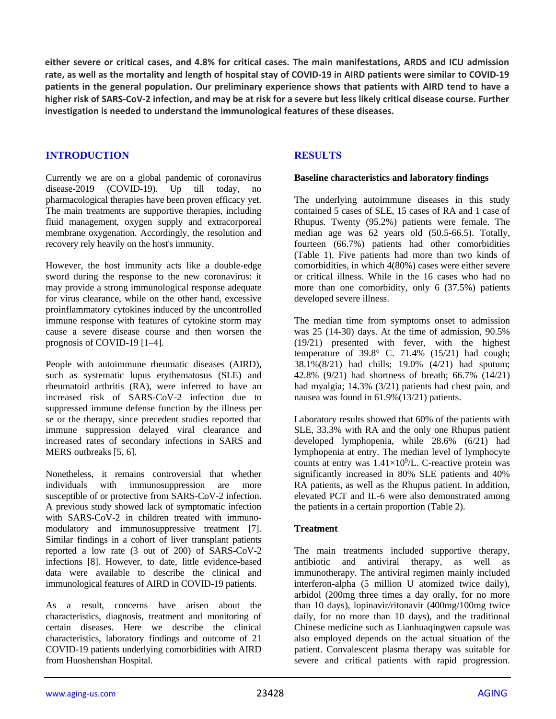either severe or critical cases, and 4.8% for critical cases. The main manifestations, ARDS and ICU admission rate, as well as the mortality and length of hospital stay of COVID-19 in AIRD patients were similar to COVID-19 patients in the general population. Our preliminary experience shows that patients with AIRD tend to have a higher risk of SARS-CoV-2 infection, and may be at risk for a severe but less likely critical disease course. Further **investigation is needed to understand the immunological features of these diseases.**

## **INTRODUCTION**

Currently we are on a global pandemic of coronavirus disease-2019 (COVID-19). Up till today, no pharmacological therapies have been proven efficacy yet. The main treatments are supportive therapies, including fluid management, oxygen supply and extracorporeal membrane oxygenation. Accordingly, the resolution and recovery rely heavily on the host's immunity.

However, the host immunity acts like a double-edge sword during the response to the new coronavirus: it may provide a strong immunological response adequate for virus clearance, while on the other hand, excessive proinflammatory cytokines induced by the uncontrolled immune response with features of cytokine storm may cause a severe disease course and then worsen the prognosis of COVID-19 [1–4].

People with autoimmune rheumatic diseases (AIRD), such as systematic lupus erythematosus (SLE) and rheumatoid arthritis (RA), were inferred to have an increased risk of SARS-CoV-2 infection due to suppressed immune defense function by the illness per se or the therapy, since precedent studies reported that immune suppression delayed viral clearance and increased rates of secondary infections in SARS and MERS outbreaks [5, 6].

Nonetheless, it remains controversial that whether individuals with immunosuppression are more susceptible of or protective from SARS-CoV-2 infection. A previous study showed lack of symptomatic infection with SARS-CoV-2 in children treated with immunomodulatory and immunosuppressive treatment [7]. Similar findings in a cohort of liver transplant patients reported a low rate (3 out of 200) of SARS-CoV-2 infections [8]. However, to date, little evidence-based data were available to describe the clinical and immunological features of AIRD in COVID-19 patients.

As a result, concerns have arisen about the characteristics, diagnosis, treatment and monitoring of certain diseases. Here we describe the clinical characteristics, laboratory findings and outcome of 21 COVID-19 patients underlying comorbidities with AIRD from Huoshenshan Hospital.

## **RESULTS**

#### **Baseline characteristics and laboratory findings**

The underlying autoimmune diseases in this study contained 5 cases of SLE, 15 cases of RA and 1 case of Rhupus. Twenty (95.2%) patients were female. The median age was 62 years old (50.5-66.5). Totally, fourteen (66.7%) patients had other comorbidities (Table 1). Five patients had more than two kinds of comorbidities, in which 4(80%) cases were either severe or critical illness. While in the 16 cases who had no more than one comorbidity, only 6 (37.5%) patients developed severe illness.

The median time from symptoms onset to admission was 25 (14-30) days. At the time of admission, 90.5% (19/21) presented with fever, with the highest temperature of  $39.8^{\circ}$  C.  $71.4\%$  (15/21) had cough; 38.1%(8/21) had chills; 19.0% (4/21) had sputum; 42.8% (9/21) had shortness of breath; 66.7% (14/21) had myalgia; 14.3% (3/21) patients had chest pain, and nausea was found in 61.9%(13/21) patients.

Laboratory results showed that 60% of the patients with SLE, 33.3% with RA and the only one Rhupus patient developed lymphopenia, while 28.6% (6/21) had lymphopenia at entry. The median level of lymphocyte counts at entry was  $1.41 \times 10^9$ /L. C-reactive protein was significantly increased in 80% SLE patients and 40% RA patients, as well as the Rhupus patient. In addition, elevated PCT and IL-6 were also demonstrated among the patients in a certain proportion (Table 2).

#### **Treatment**

The main treatments included supportive therapy, antibiotic and antiviral therapy, as well as immunotherapy. The antiviral regimen mainly included interferon-alpha (5 million U atomized twice daily), arbidol (200mg three times a day orally, for no more than 10 days), lopinavir/ritonavir (400mg/100mg twice daily, for no more than 10 days), and the traditional Chinese medicine such as Lianhuaqingwen capsule was also employed depends on the actual situation of the patient. Convalescent plasma therapy was suitable for severe and critical patients with rapid progression.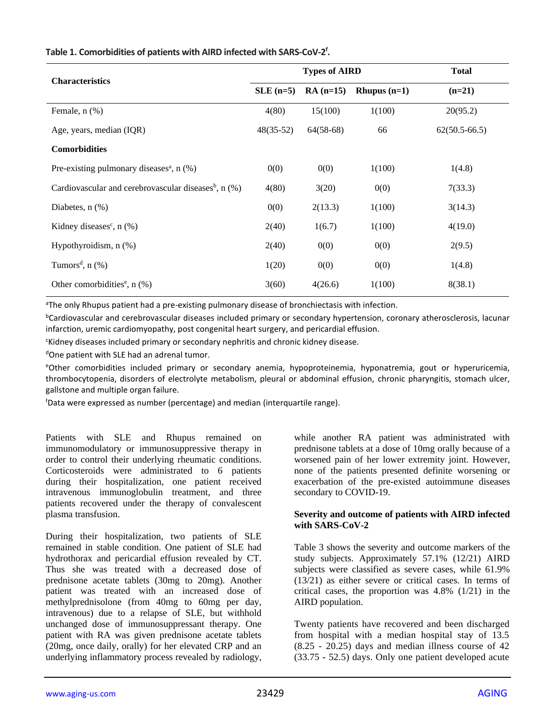| <b>Characteristics</b>                                             |             | <b>Types of AIRD</b> | <b>Total</b>   |                   |
|--------------------------------------------------------------------|-------------|----------------------|----------------|-------------------|
|                                                                    | $SLE$ (n=5) | $RA(n=15)$           | Rhupus $(n=1)$ | $(n=21)$          |
| Female, n (%)                                                      | 4(80)       | 15(100)              | 1(100)         | 20(95.2)          |
| Age, years, median (IQR)                                           | $48(35-52)$ | $64(58-68)$          | 66             | $62(50.5 - 66.5)$ |
| <b>Comorbidities</b>                                               |             |                      |                |                   |
| Pre-existing pulmonary diseases <sup>a</sup> , $n$ (%)             | 0(0)        | 0(0)                 | 1(100)         | 1(4.8)            |
| Cardiovascular and cerebrovascular diseases <sup>b</sup> , $n$ (%) | 4(80)       | 3(20)                | 0(0)           | 7(33.3)           |
| Diabetes, $n$ $(\%)$                                               | 0(0)        | 2(13.3)              | 1(100)         | 3(14.3)           |
| Kidney diseases <sup>c</sup> , $n$ (%)                             | 2(40)       | 1(6.7)               | 1(100)         | 4(19.0)           |
| Hypothyroidism, $n$ $(\%)$                                         | 2(40)       | 0(0)                 | 0(0)           | 2(9.5)            |
| Tumors <sup>d</sup> , $n$ (%)                                      | 1(20)       | 0(0)                 | 0(0)           | 1(4.8)            |
| Other comorbidities <sup>e</sup> , $n$ (%)                         | 3(60)       | 4(26.6)              | 1(100)         | 8(38.1)           |

## **Table 1. Comorbidities of patients with AIRD infected with SARS-CoV-2 f .**

<sup>a</sup>The only Rhupus patient had a pre-existing pulmonary disease of bronchiectasis with infection.

<sup>b</sup>Cardiovascular and cerebrovascular diseases included primary or secondary hypertension, coronary atherosclerosis, lacunar infarction, uremic cardiomyopathy, post congenital heart surgery, and pericardial effusion.

<sup>c</sup>Kidney diseases included primary or secondary nephritis and chronic kidney disease.

dOne patient with SLE had an adrenal tumor.

<sup>e</sup>Other comorbidities included primary or secondary anemia, hypoproteinemia, hyponatremia, gout or hyperuricemia, thrombocytopenia, disorders of electrolyte metabolism, pleural or abdominal effusion, chronic pharyngitis, stomach ulcer, gallstone and multiple organ failure.

<sup>f</sup>Data were expressed as number (percentage) and median (interquartile range).

Patients with SLE and Rhupus remained on immunomodulatory or immunosuppressive therapy in order to control their underlying rheumatic conditions. Corticosteroids were administrated to 6 patients during their hospitalization, one patient received intravenous immunoglobulin treatment, and three patients recovered under the therapy of convalescent plasma transfusion.

During their hospitalization, two patients of SLE remained in stable condition. One patient of SLE had hydrothorax and pericardial effusion revealed by CT. Thus she was treated with a decreased dose of prednisone acetate tablets (30mg to 20mg). Another patient was treated with an increased dose of methylprednisolone (from 40mg to 60mg per day, intravenous) due to a relapse of SLE, but withhold unchanged dose of immunosuppressant therapy. One patient with RA was given prednisone acetate tablets (20mg, once daily, orally) for her elevated CRP and an underlying inflammatory process revealed by radiology,

while another RA patient was administrated with prednisone tablets at a dose of 10mg orally because of a worsened pain of her lower extremity joint. However, none of the patients presented definite worsening or exacerbation of the pre-existed autoimmune diseases secondary to COVID-19.

#### **Severity and outcome of patients with AIRD infected with SARS-CoV-2**

Table 3 shows the severity and outcome markers of the study subjects. Approximately 57.1% (12/21) AIRD subjects were classified as severe cases, while 61.9% (13/21) as either severe or critical cases. In terms of critical cases, the proportion was  $4.8\%$  ( $1/21$ ) in the AIRD population.

Twenty patients have recovered and been discharged from hospital with a median hospital stay of 13.5 (8.25 - 20.25) days and median illness course of 42 (33.75 - 52.5) days. Only one patient developed acute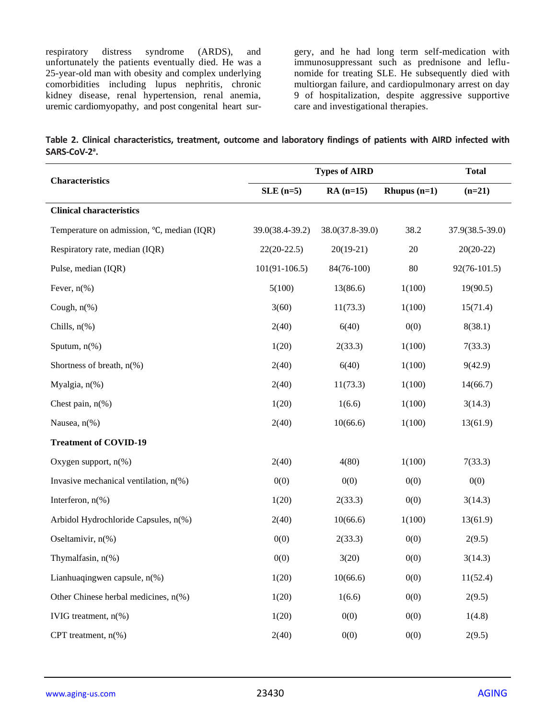respiratory distress syndrome (ARDS), and unfortunately the patients eventually died. He was a 25-year-old man with obesity and complex underlying comorbidities including lupus nephritis, chronic kidney disease, renal hypertension, renal anemia, uremic cardiomyopathy, and post congenital heart sur-

gery, and he had long term self-medication with immunosuppressant such as prednisone and leflunomide for treating SLE. He subsequently died with multiorgan failure, and cardiopulmonary arrest on day 9 of hospitalization, despite aggressive supportive care and investigational therapies.

|                           | Table 2. Clinical characteristics, treatment, outcome and laboratory findings of patients with AIRD infected with |  |  |  |  |  |  |
|---------------------------|-------------------------------------------------------------------------------------------------------------------|--|--|--|--|--|--|
| SARS-CoV-2 <sup>a</sup> . |                                                                                                                   |  |  |  |  |  |  |

|                                            | <b>Types of AIRD</b> | <b>Total</b>      |                |                 |
|--------------------------------------------|----------------------|-------------------|----------------|-----------------|
| <b>Characteristics</b>                     | $SLE$ (n=5)          | $RA(n=15)$        | Rhupus $(n=1)$ | $(n=21)$        |
| <b>Clinical characteristics</b>            |                      |                   |                |                 |
| Temperature on admission, °C, median (IQR) | 39.0(38.4-39.2)      | $38.0(37.8-39.0)$ | 38.2           | 37.9(38.5-39.0) |
| Respiratory rate, median (IQR)             | $22(20-22.5)$        | $20(19-21)$       | 20             | $20(20-22)$     |
| Pulse, median (IQR)                        | $101(91-106.5)$      | $84(76-100)$      | 80             | $92(76-101.5)$  |
| Fever, $n$ (%)                             | 5(100)               | 13(86.6)          | 1(100)         | 19(90.5)        |
| Cough, $n$ <sup>(%)</sup>                  | 3(60)                | 11(73.3)          | 1(100)         | 15(71.4)        |
| Chills, $n$ <sup>(%)</sup>                 | 2(40)                | 6(40)             | 0(0)           | 8(38.1)         |
| Sputum, $n$ <sup>(%)</sup>                 | 1(20)                | 2(33.3)           | 1(100)         | 7(33.3)         |
| Shortness of breath, $n$ (%)               | 2(40)                | 6(40)             | 1(100)         | 9(42.9)         |
| Myalgia, n(%)                              | 2(40)                | 11(73.3)          | 1(100)         | 14(66.7)        |
| Chest pain, $n$ (%)                        | 1(20)                | 1(6.6)            | 1(100)         | 3(14.3)         |
| Nausea, n(%)                               | 2(40)                | 10(66.6)          | 1(100)         | 13(61.9)        |
| <b>Treatment of COVID-19</b>               |                      |                   |                |                 |
| Oxygen support, $n$ <sup>(%)</sup>         | 2(40)                | 4(80)             | 1(100)         | 7(33.3)         |
| Invasive mechanical ventilation, $n$ (%)   | 0(0)                 | 0(0)              | 0(0)           | 0(0)            |
| Interferon, $n$ (%)                        | 1(20)                | 2(33.3)           | 0(0)           | 3(14.3)         |
| Arbidol Hydrochloride Capsules, n(%)       | 2(40)                | 10(66.6)          | 1(100)         | 13(61.9)        |
| Oseltamivir, n(%)                          | 0(0)                 | 2(33.3)           | 0(0)           | 2(9.5)          |
| Thymalfasin, n(%)                          | 0(0)                 | 3(20)             | 0(0)           | 3(14.3)         |
| Lianhuaqingwen capsule, $n$ (%)            | 1(20)                | 10(66.6)          | 0(0)           | 11(52.4)        |
| Other Chinese herbal medicines, n(%)       | 1(20)                | 1(6.6)            | 0(0)           | 2(9.5)          |
| IVIG treatment, n(%)                       | 1(20)                | 0(0)              | 0(0)           | 1(4.8)          |
| CPT treatment, n(%)                        | 2(40)                | 0(0)              | 0(0)           | 2(9.5)          |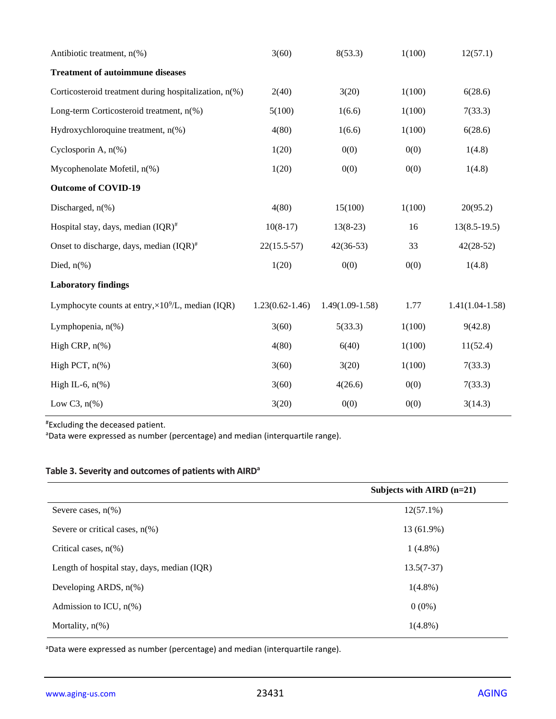| Antibiotic treatment, $n$ <sup>(%)</sup>                   | 3(60)               | 8(53.3)           | 1(100) | 12(57.1)          |
|------------------------------------------------------------|---------------------|-------------------|--------|-------------------|
| <b>Treatment of autoimmune diseases</b>                    |                     |                   |        |                   |
| Corticosteroid treatment during hospitalization, n(%)      | 2(40)               | 3(20)             | 1(100) | 6(28.6)           |
| Long-term Corticosteroid treatment, n(%)                   | 5(100)              | 1(6.6)            | 1(100) | 7(33.3)           |
| Hydroxychloroquine treatment, n(%)                         | 4(80)               | 1(6.6)            | 1(100) | 6(28.6)           |
| Cyclosporin A, $n$ <sup>(%)</sup>                          | 1(20)               | 0(0)              | 0(0)   | 1(4.8)            |
| Mycophenolate Mofetil, n(%)                                | 1(20)               | 0(0)              | 0(0)   | 1(4.8)            |
| <b>Outcome of COVID-19</b>                                 |                     |                   |        |                   |
| Discharged, $n$ <sup>(%)</sup>                             | 4(80)               | 15(100)           | 1(100) | 20(95.2)          |
| Hospital stay, days, median $(IQR)^{\#}$                   | $10(8-17)$          | $13(8-23)$        | 16     | $13(8.5-19.5)$    |
| Onset to discharge, days, median $(IQR)^{\#}$              | $22(15.5-57)$       | $42(36-53)$       | 33     | $42(28-52)$       |
| Died, $n\%$ )                                              | 1(20)               | 0(0)              | 0(0)   | 1(4.8)            |
| <b>Laboratory findings</b>                                 |                     |                   |        |                   |
| Lymphocyte counts at entry, $\times 10^9$ /L, median (IQR) | $1.23(0.62 - 1.46)$ | $1.49(1.09-1.58)$ | 1.77   | $1.41(1.04-1.58)$ |
| Lymphopenia, $n$ (%)                                       | 3(60)               | 5(33.3)           | 1(100) | 9(42.8)           |
| High CRP, $n$ <sup>(%)</sup>                               | 4(80)               | 6(40)             | 1(100) | 11(52.4)          |
| High PCT, $n$ <sup>(%)</sup>                               | 3(60)               | 3(20)             | 1(100) | 7(33.3)           |
| High IL-6, $n(\%)$                                         | 3(60)               | 4(26.6)           | 0(0)   | 7(33.3)           |
| Low C3, $n\frac{6}{6}$                                     | 3(20)               | 0(0)              | 0(0)   | 3(14.3)           |

#Excluding the deceased patient.

<sup>a</sup>Data were expressed as number (percentage) and median (interquartile range).

## **Table 3. Severity and outcomes of patients with AIRD<sup>a</sup>**

|                                             | Subjects with AIRD $(n=21)$ |
|---------------------------------------------|-----------------------------|
| Severe cases, $n(\%)$                       | $12(57.1\%)$                |
| Severe or critical cases, $n(\%)$           | 13 (61.9%)                  |
| Critical cases, $n(\%)$                     | $1(4.8\%)$                  |
| Length of hospital stay, days, median (IQR) | $13.5(7-37)$                |
| Developing ARDS, $n\%$ )                    | $1(4.8\%)$                  |
| Admission to ICU, $n\%$ )                   | $0(0\%)$                    |
| Mortality, $n(\%)$                          | $1(4.8\%)$                  |

aData were expressed as number (percentage) and median (interquartile range).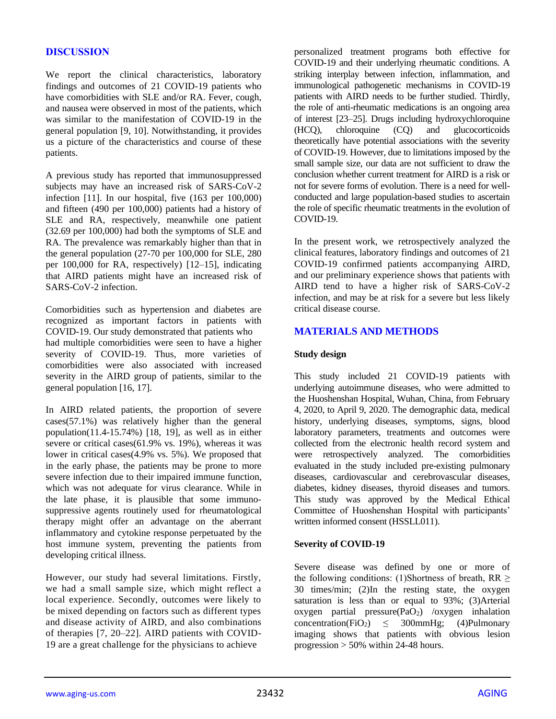## **DISCUSSION**

We report the clinical characteristics, laboratory findings and outcomes of 21 COVID-19 patients who have comorbidities with SLE and/or RA. Fever, cough, and nausea were observed in most of the patients, which was similar to the manifestation of COVID-19 in the general population [9, 10]. Notwithstanding, it provides us a picture of the characteristics and course of these patients.

A previous study has reported that immunosuppressed subjects may have an increased risk of SARS-CoV-2 infection [11]. In our hospital, five (163 per 100,000) and fifteen (490 per 100,000) patients had a history of SLE and RA, respectively, meanwhile one patient (32.69 per 100,000) had both the symptoms of SLE and RA. The prevalence was remarkably higher than that in the general population (27-70 per 100,000 for SLE, 280 per 100,000 for RA, respectively) [12–15], indicating that AIRD patients might have an increased risk of SARS-CoV-2 infection.

Comorbidities such as hypertension and diabetes are recognized as important factors in patients with COVID-19. Our study demonstrated that patients who had multiple comorbidities were seen to have a higher severity of COVID-19. Thus, more varieties of comorbidities were also associated with increased severity in the AIRD group of patients, similar to the general population [16, 17].

In AIRD related patients, the proportion of severe cases(57.1%) was relatively higher than the general population(11.4-15.74%) [18, 19], as well as in either severe or critical cases(61.9% vs. 19%), whereas it was lower in critical cases(4.9% vs. 5%). We proposed that in the early phase, the patients may be prone to more severe infection due to their impaired immune function, which was not adequate for virus clearance. While in the late phase, it is plausible that some immunosuppressive agents routinely used for rheumatological therapy might offer an advantage on the aberrant inflammatory and cytokine response perpetuated by the host immune system, preventing the patients from developing critical illness.

However, our study had several limitations. Firstly, we had a small sample size, which might reflect a local experience. Secondly, outcomes were likely to be mixed depending on factors such as different types and disease activity of AIRD, and also combinations of therapies [7, 20–22]. AIRD patients with COVID-19 are a great challenge for the physicians to achieve

personalized treatment programs both effective for COVID-19 and their underlying rheumatic conditions. A striking interplay between infection, inflammation, and immunological pathogenetic mechanisms in COVID-19 patients with AIRD needs to be further studied. Thirdly, the role of anti-rheumatic medications is an ongoing area of interest [23–25]. Drugs including hydroxychloroquine (HCQ), chloroquine (CQ) and glucocorticoids theoretically have potential associations with the severity of COVID-19. However, due to limitations imposed by the small sample size, our data are not sufficient to draw the conclusion whether current treatment for AIRD is a risk or not for severe forms of evolution. There is a need for wellconducted and large population-based studies to ascertain the role of specific rheumatic treatments in the evolution of COVID-19.

In the present work, we retrospectively analyzed the clinical features, laboratory findings and outcomes of 21 COVID-19 confirmed patients accompanying AIRD, and our preliminary experience shows that patients with AIRD tend to have a higher risk of SARS-CoV-2 infection, and may be at risk for a severe but less likely critical disease course.

#### **MATERIALS AND METHODS**

#### **Study design**

This study included 21 COVID-19 patients with underlying autoimmune diseases, who were admitted to the Huoshenshan Hospital, Wuhan, China, from February 4, 2020, to April 9, 2020. The demographic data, medical history, underlying diseases, symptoms, signs, blood laboratory parameters, treatments and outcomes were collected from the electronic health record system and were retrospectively analyzed. The comorbidities evaluated in the study included pre-existing pulmonary diseases, cardiovascular and cerebrovascular diseases, diabetes, kidney diseases, thyroid diseases and tumors. This study was approved by the Medical Ethical Committee of Huoshenshan Hospital with participants' written informed consent (HSSLL011).

#### **Severity of COVID-19**

Severe disease was defined by one or more of the following conditions: (1)Shortness of breath, RR  $\geq$ 30 times/min; (2)In the resting state, the oxygen saturation is less than or equal to 93%; (3)Arterial oxygen partial pressure(PaO<sub>2</sub>) /oxygen inhalation concentration(FiO<sub>2</sub>)  $\leq$  300mmHg; (4)Pulmonary imaging shows that patients with obvious lesion progression  $> 50\%$  within 24-48 hours.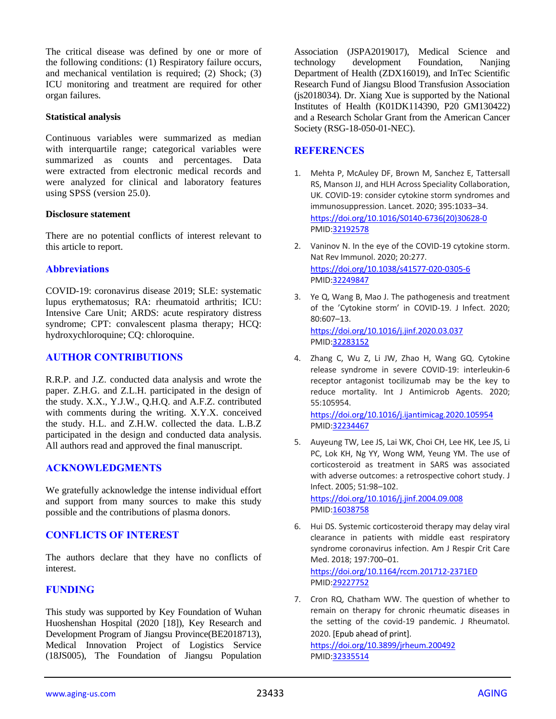The critical disease was defined by one or more of the following conditions: (1) Respiratory failure occurs, and mechanical ventilation is required; (2) Shock; (3) ICU monitoring and treatment are required for other organ failures.

#### **Statistical analysis**

Continuous variables were summarized as median with interquartile range; categorical variables were summarized as counts and percentages. Data were extracted from electronic medical records and were analyzed for clinical and laboratory features using SPSS (version 25.0).

#### **Disclosure statement**

There are no potential conflicts of interest relevant to this article to report.

## **Abbreviations**

COVID-19: coronavirus disease 2019; SLE: systematic lupus erythematosus; RA: rheumatoid arthritis; ICU: Intensive Care Unit; ARDS: acute respiratory distress syndrome; CPT: convalescent plasma therapy; HCQ: hydroxychloroquine; CQ: chloroquine.

## **AUTHOR CONTRIBUTIONS**

R.R.P. and J.Z. conducted data analysis and wrote the paper. Z.H.G. and Z.L.H. participated in the design of the study. X.X., Y.J.W., Q.H.Q. and A.F.Z. contributed with comments during the writing. X.Y.X. conceived the study. H.L. and Z.H.W. collected the data. L.B.Z participated in the design and conducted data analysis. All authors read and approved the final manuscript.

## **ACKNOWLEDGMENTS**

We gratefully acknowledge the intense individual effort and support from many sources to make this study possible and the contributions of plasma donors.

## **CONFLICTS OF INTEREST**

The authors declare that they have no conflicts of interest.

## **FUNDING**

This study was supported by Key Foundation of Wuhan Huoshenshan Hospital (2020 [18]), Key Research and Development Program of Jiangsu Province(BE2018713), Medical Innovation Project of Logistics Service (18JS005), The Foundation of Jiangsu Population

Association (JSPA2019017), Medical Science and technology development Foundation, Nanjing Department of Health (ZDX16019), and InTec Scientific Research Fund of Jiangsu Blood Transfusion Association (js2018034). Dr. Xiang Xue is supported by the National Institutes of Health (K01DK114390, P20 GM130422) and a Research Scholar Grant from the American Cancer Society (RSG-18-050-01-NEC).

## **REFERENCES**

- 1. Mehta P, McAuley DF, Brown M, Sanchez E, Tattersall RS, Manson JJ, and HLH Across Speciality Collaboration, UK. COVID-19: consider cytokine storm syndromes and immunosuppression. Lancet. 2020; 395:1033–34. [https://doi.org/10.1016/S0140-6736\(20\)30628-0](https://doi.org/10.1016/S0140-6736(20)30628-0) PMI[D:32192578](https://pubmed.ncbi.nlm.nih.gov/32192578)
- 2. Vaninov N. In the eye of the COVID-19 cytokine storm. Nat Rev Immunol. 2020; 20:277. <https://doi.org/10.1038/s41577-020-0305-6> PMI[D:32249847](https://pubmed.ncbi.nlm.nih.gov/32249847)
- 3. Ye Q, Wang B, Mao J. The pathogenesis and treatment of the 'Cytokine storm' in COVID-19. J Infect. 2020; 80:607–13. <https://doi.org/10.1016/j.jinf.2020.03.037> PMI[D:32283152](https://pubmed.ncbi.nlm.nih.gov/32283152)
- 4. Zhang C, Wu Z, Li JW, Zhao H, Wang GQ. Cytokine release syndrome in severe COVID-19: interleukin-6 receptor antagonist tocilizumab may be the key to reduce mortality. Int J Antimicrob Agents. 2020; 55:105954.

<https://doi.org/10.1016/j.ijantimicag.2020.105954> PMI[D:32234467](https://pubmed.ncbi.nlm.nih.gov/32234467)

5. Auyeung TW, Lee JS, Lai WK, Choi CH, Lee HK, Lee JS, Li PC, Lok KH, Ng YY, Wong WM, Yeung YM. The use of corticosteroid as treatment in SARS was associated with adverse outcomes: a retrospective cohort study. J Infect. 2005; 51:98–102.

<https://doi.org/10.1016/j.jinf.2004.09.008> PMI[D:16038758](https://pubmed.ncbi.nlm.nih.gov/16038758)

6. Hui DS. Systemic corticosteroid therapy may delay viral clearance in patients with middle east respiratory syndrome coronavirus infection. Am J Respir Crit Care Med. 2018; 197:700–01.

<https://doi.org/10.1164/rccm.201712-2371ED> PMI[D:29227752](https://pubmed.ncbi.nlm.nih.gov/29227752)

7. Cron RQ, Chatham WW. The question of whether to remain on therapy for chronic rheumatic diseases in the setting of the covid-19 pandemic. J Rheumatol. 2020. [Epub ahead of print]. <https://doi.org/10.3899/jrheum.200492> PMI[D:32335514](https://pubmed.ncbi.nlm.nih.gov/32335514)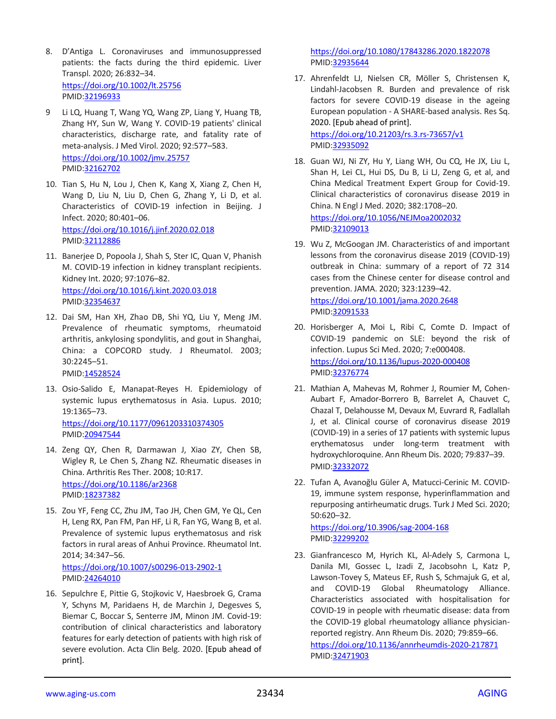- 8. D'Antiga L. Coronaviruses and immunosuppressed patients: the facts during the third epidemic. Liver Transpl. 2020; 26:832–34. <https://doi.org/10.1002/lt.25756> PMID[:32196933](https://pubmed.ncbi.nlm.nih.gov/32196933)
- 9 Li LQ, Huang T, Wang YQ, Wang ZP, Liang Y, Huang TB, Zhang HY, Sun W, Wang Y. COVID-19 patients' clinical characteristics, discharge rate, and fatality rate of meta-analysis. J Med Virol. 2020; 92:577–583. <https://doi.org/10.1002/jmv.25757> PMID[:32162702](https://pubmed.ncbi.nlm.nih.gov/32162702)
- 10. Tian S, Hu N, Lou J, Chen K, Kang X, Xiang Z, Chen H, Wang D, Liu N, Liu D, Chen G, Zhang Y, Li D, et al. Characteristics of COVID-19 infection in Beijing. J Infect. 2020; 80:401–06. <https://doi.org/10.1016/j.jinf.2020.02.018> PMID[:32112886](https://pubmed.ncbi.nlm.nih.gov/32112886)
- 11. Banerjee D, Popoola J, Shah S, Ster IC, Quan V, Phanish M. COVID-19 infection in kidney transplant recipients. Kidney Int. 2020; 97:1076–82. <https://doi.org/10.1016/j.kint.2020.03.018> PMID[:32354637](https://pubmed.ncbi.nlm.nih.gov/32354637)
- 12. Dai SM, Han XH, Zhao DB, Shi YQ, Liu Y, Meng JM. Prevalence of rheumatic symptoms, rheumatoid arthritis, ankylosing spondylitis, and gout in Shanghai, China: a COPCORD study. J Rheumatol. 2003; 30:2245–51.

PMID[:14528524](https://pubmed.ncbi.nlm.nih.gov/14528524)

13. Osio-Salido E, Manapat-Reyes H. Epidemiology of systemic lupus erythematosus in Asia. Lupus. 2010; 19:1365–73. <https://doi.org/10.1177/0961203310374305>

PMID[:20947544](https://pubmed.ncbi.nlm.nih.gov/20947544)

- 14. Zeng QY, Chen R, Darmawan J, Xiao ZY, Chen SB, Wigley R, Le Chen S, Zhang NZ. Rheumatic diseases in China. Arthritis Res Ther. 2008; 10:R17. <https://doi.org/10.1186/ar2368> PMID[:18237382](https://pubmed.ncbi.nlm.nih.gov/18237382)
- 15. Zou YF, Feng CC, Zhu JM, Tao JH, Chen GM, Ye QL, Cen H, Leng RX, Pan FM, Pan HF, Li R, Fan YG, Wang B, et al. Prevalence of systemic lupus erythematosus and risk factors in rural areas of Anhui Province. Rheumatol Int. 2014; 34:347–56. <https://doi.org/10.1007/s00296-013-2902-1>

```
PMID:24264010
```
16. Sepulchre E, Pittie G, Stojkovic V, Haesbroek G, Crama Y, Schyns M, Paridaens H, de Marchin J, Degesves S, Biemar C, Boccar S, Senterre JM, Minon JM. Covid-19: contribution of clinical characteristics and laboratory features for early detection of patients with high risk of severe evolution. Acta Clin Belg. 2020. [Epub ahead of print].

<https://doi.org/10.1080/17843286.2020.1822078> PMI[D:32935644](https://pubmed.ncbi.nlm.nih.gov/32935644)

17. Ahrenfeldt LJ, Nielsen CR, Möller S, Christensen K, Lindahl-Jacobsen R. Burden and prevalence of risk factors for severe COVID-19 disease in the ageing European population - A SHARE-based analysis. Res Sq. 2020. [Epub ahead of print].

<https://doi.org/10.21203/rs.3.rs-73657/v1> PMI[D:32935092](https://pubmed.ncbi.nlm.nih.gov/32935092)

18. Guan WJ, Ni ZY, Hu Y, Liang WH, Ou CQ, He JX, Liu L, Shan H, Lei CL, Hui DS, Du B, Li LJ, Zeng G, et al, and China Medical Treatment Expert Group for Covid-19. Clinical characteristics of coronavirus disease 2019 in China. N Engl J Med. 2020; 382:1708–20.

<https://doi.org/10.1056/NEJMoa2002032> PMI[D:32109013](https://pubmed.ncbi.nlm.nih.gov/32109013)

- 19. Wu Z, McGoogan JM. Characteristics of and important lessons from the coronavirus disease 2019 (COVID-19) outbreak in China: summary of a report of 72 314 cases from the Chinese center for disease control and prevention. JAMA. 2020; 323:1239–42. <https://doi.org/10.1001/jama.2020.2648> PMI[D:32091533](https://pubmed.ncbi.nlm.nih.gov/32091533)
- 20. Horisberger A, Moi L, Ribi C, Comte D. Impact of COVID-19 pandemic on SLE: beyond the risk of infection. Lupus Sci Med. 2020; 7:e000408. <https://doi.org/10.1136/lupus-2020-000408> PMI[D:32376774](https://pubmed.ncbi.nlm.nih.gov/32376774)
- 21. Mathian A, Mahevas M, Rohmer J, Roumier M, Cohen-Aubart F, Amador-Borrero B, Barrelet A, Chauvet C, Chazal T, Delahousse M, Devaux M, Euvrard R, Fadlallah J, et al. Clinical course of coronavirus disease 2019 (COVID-19) in a series of 17 patients with systemic lupus erythematosus under long-term treatment with hydroxychloroquine. Ann Rheum Dis. 2020; 79:837–39. PMI[D:32332072](https://pubmed.ncbi.nlm.nih.gov/32332072)
- 22. Tufan A, Avanoğlu Güler A, Matucci-Cerinic M. COVID-19, immune system response, hyperinflammation and repurposing antirheumatic drugs. Turk J Med Sci. 2020; 50:620–32.

<https://doi.org/10.3906/sag-2004-168> PMI[D:32299202](https://pubmed.ncbi.nlm.nih.gov/32299202)

23. Gianfrancesco M, Hyrich KL, Al-Adely S, Carmona L, Danila MI, Gossec L, Izadi Z, Jacobsohn L, Katz P, Lawson-Tovey S, Mateus EF, Rush S, Schmajuk G, et al, and COVID-19 Global Rheumatology Alliance. Characteristics associated with hospitalisation for COVID-19 in people with rheumatic disease: data from the COVID-19 global rheumatology alliance physicianreported registry. Ann Rheum Dis. 2020; 79:859–66. <https://doi.org/10.1136/annrheumdis-2020-217871> PMI[D:32471903](https://pubmed.ncbi.nlm.nih.gov/32471903)